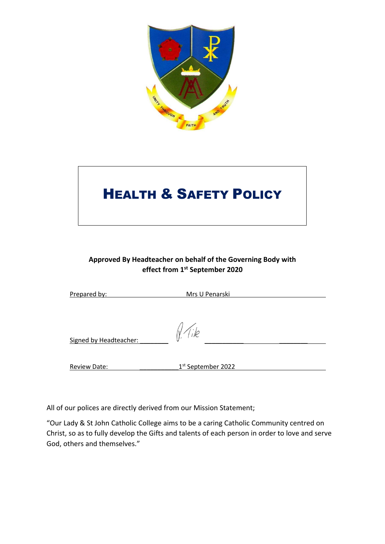

# **HEALTH & SAFETY POLICY**

# **Approved By Headteacher on behalf of the Governing Body with effect from 1st September 2020**

| Prepared by:           | Mrs U Penarski                 |
|------------------------|--------------------------------|
| Signed by Headteacher: | ıle                            |
| <b>Review Date:</b>    | 1 <sup>st</sup> September 2022 |
|                        |                                |

All of our polices are directly derived from our Mission Statement;

"Our Lady & St John Catholic College aims to be a caring Catholic Community centred on Christ, so as to fully develop the Gifts and talents of each person in order to love and serve God, others and themselves."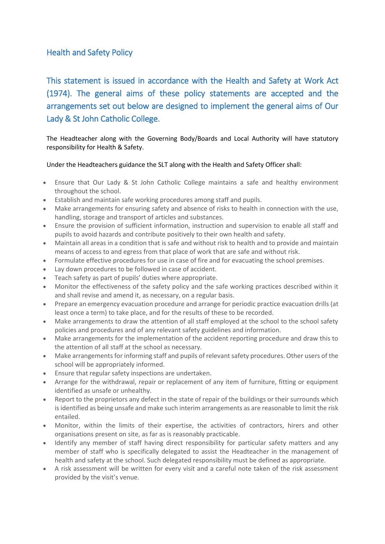# Health and Safety Policy

This statement is issued in accordance with the Health and Safety at Work Act (1974). The general aims of these policy statements are accepted and the arrangements set out below are designed to implement the general aims of Our Lady & St John Catholic College.

The Headteacher along with the Governing Body/Boards and Local Authority will have statutory responsibility for Health & Safety.

### Under the Headteachers guidance the SLT along with the Health and Safety Officer shall:

- Ensure that Our Lady & St John Catholic College maintains a safe and healthy environment throughout the school.
- Establish and maintain safe working procedures among staff and pupils.
- Make arrangements for ensuring safety and absence of risks to health in connection with the use, handling, storage and transport of articles and substances.
- Ensure the provision of sufficient information, instruction and supervision to enable all staff and pupils to avoid hazards and contribute positively to their own health and safety.
- Maintain all areas in a condition that is safe and without risk to health and to provide and maintain means of access to and egress from that place of work that are safe and without risk.
- Formulate effective procedures for use in case of fire and for evacuating the school premises.
- Lay down procedures to be followed in case of accident.
- Teach safety as part of pupils' duties where appropriate.
- Monitor the effectiveness of the safety policy and the safe working practices described within it and shall revise and amend it, as necessary, on a regular basis.
- Prepare an emergency evacuation procedure and arrange for periodic practice evacuation drills (at least once a term) to take place, and for the results of these to be recorded.
- Make arrangements to draw the attention of all staff employed at the school to the school safety policies and procedures and of any relevant safety guidelines and information.
- Make arrangements for the implementation of the accident reporting procedure and draw this to the attention of all staff at the school as necessary.
- Make arrangements for informing staff and pupils of relevant safety procedures. Other users of the school will be appropriately informed.
- Ensure that regular safety inspections are undertaken.
- Arrange for the withdrawal, repair or replacement of any item of furniture, fitting or equipment identified as unsafe or unhealthy.
- Report to the proprietors any defect in the state of repair of the buildings or their surrounds which is identified as being unsafe and make such interim arrangements as are reasonable to limit the risk entailed.
- Monitor, within the limits of their expertise, the activities of contractors, hirers and other organisations present on site, as far as is reasonably practicable.
- Identify any member of staff having direct responsibility for particular safety matters and any member of staff who is specifically delegated to assist the Headteacher in the management of health and safety at the school. Such delegated responsibility must be defined as appropriate.
- A risk assessment will be written for every visit and a careful note taken of the risk assessment provided by the visit's venue.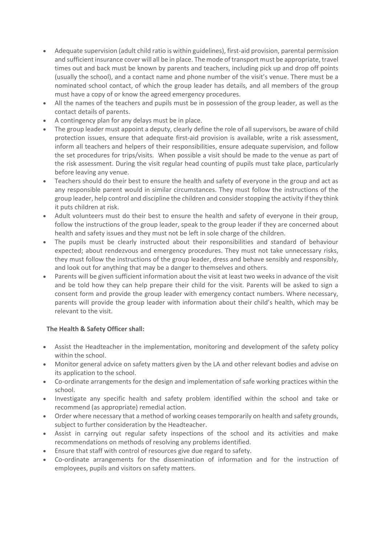- Adequate supervision (adult child ratio is within guidelines), first-aid provision, parental permission and sufficient insurance cover will all be in place. The mode of transport must be appropriate, travel times out and back must be known by parents and teachers, including pick up and drop off points (usually the school), and a contact name and phone number of the visit's venue. There must be a nominated school contact, of which the group leader has details, and all members of the group must have a copy of or know the agreed emergency procedures.
- All the names of the teachers and pupils must be in possession of the group leader, as well as the contact details of parents.
- A contingency plan for any delays must be in place.
- The group leader must appoint a deputy, clearly define the role of all supervisors, be aware of child protection issues, ensure that adequate first-aid provision is available, write a risk assessment, inform all teachers and helpers of their responsibilities, ensure adequate supervision, and follow the set procedures for trips/visits. When possible a visit should be made to the venue as part of the risk assessment. During the visit regular head counting of pupils must take place, particularly before leaving any venue.
- Teachers should do their best to ensure the health and safety of everyone in the group and act as any responsible parent would in similar circumstances. They must follow the instructions of the group leader, help control and discipline the children and consider stopping the activity if they think it puts children at risk.
- Adult volunteers must do their best to ensure the health and safety of everyone in their group, follow the instructions of the group leader, speak to the group leader if they are concerned about health and safety issues and they must not be left in sole charge of the children.
- The pupils must be clearly instructed about their responsibilities and standard of behaviour expected; about rendezvous and emergency procedures. They must not take unnecessary risks, they must follow the instructions of the group leader, dress and behave sensibly and responsibly, and look out for anything that may be a danger to themselves and others.
- Parents will be given sufficient information about the visit at least two weeks in advance of the visit and be told how they can help prepare their child for the visit. Parents will be asked to sign a consent form and provide the group leader with emergency contact numbers. Where necessary, parents will provide the group leader with information about their child's health, which may be relevant to the visit.

# **The Health & Safety Officer shall:**

- Assist the Headteacher in the implementation, monitoring and development of the safety policy within the school.
- Monitor general advice on safety matters given by the LA and other relevant bodies and advise on its application to the school.
- Co-ordinate arrangements for the design and implementation of safe working practices within the school.
- Investigate any specific health and safety problem identified within the school and take or recommend (as appropriate) remedial action.
- Order where necessary that a method of working ceases temporarily on health and safety grounds, subject to further consideration by the Headteacher.
- Assist in carrying out regular safety inspections of the school and its activities and make recommendations on methods of resolving any problems identified.
- Ensure that staff with control of resources give due regard to safety.
- Co-ordinate arrangements for the dissemination of information and for the instruction of employees, pupils and visitors on safety matters.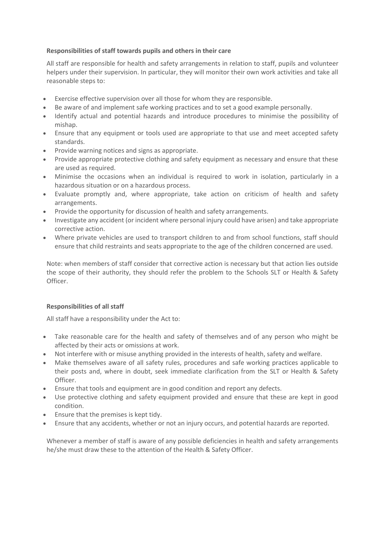### **Responsibilities of staff towards pupils and others in their care**

All staff are responsible for health and safety arrangements in relation to staff, pupils and volunteer helpers under their supervision. In particular, they will monitor their own work activities and take all reasonable steps to:

- Exercise effective supervision over all those for whom they are responsible.
- Be aware of and implement safe working practices and to set a good example personally.
- Identify actual and potential hazards and introduce procedures to minimise the possibility of mishap.
- Ensure that any equipment or tools used are appropriate to that use and meet accepted safety standards.
- Provide warning notices and signs as appropriate.
- Provide appropriate protective clothing and safety equipment as necessary and ensure that these are used as required.
- Minimise the occasions when an individual is required to work in isolation, particularly in a hazardous situation or on a hazardous process.
- Evaluate promptly and, where appropriate, take action on criticism of health and safety arrangements.
- Provide the opportunity for discussion of health and safety arrangements.
- Investigate any accident (or incident where personal injury could have arisen) and take appropriate corrective action.
- Where private vehicles are used to transport children to and from school functions, staff should ensure that child restraints and seats appropriate to the age of the children concerned are used.

Note: when members of staff consider that corrective action is necessary but that action lies outside the scope of their authority, they should refer the problem to the Schools SLT or Health & Safety Officer.

#### **Responsibilities of all staff**

All staff have a responsibility under the Act to:

- Take reasonable care for the health and safety of themselves and of any person who might be affected by their acts or omissions at work.
- Not interfere with or misuse anything provided in the interests of health, safety and welfare.
- Make themselves aware of all safety rules, procedures and safe working practices applicable to their posts and, where in doubt, seek immediate clarification from the SLT or Health & Safety Officer.
- Ensure that tools and equipment are in good condition and report any defects.
- Use protective clothing and safety equipment provided and ensure that these are kept in good condition.
- Ensure that the premises is kept tidy.
- Ensure that any accidents, whether or not an injury occurs, and potential hazards are reported.

Whenever a member of staff is aware of any possible deficiencies in health and safety arrangements he/she must draw these to the attention of the Health & Safety Officer.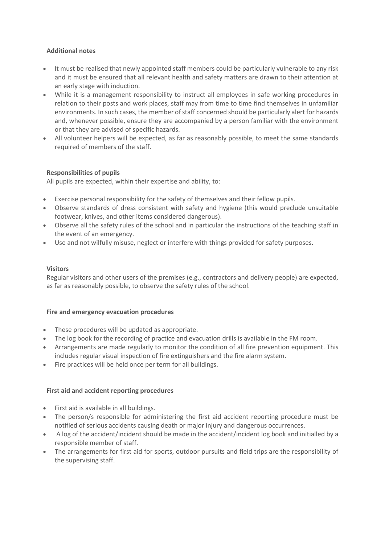## **Additional notes**

- It must be realised that newly appointed staff members could be particularly vulnerable to any risk and it must be ensured that all relevant health and safety matters are drawn to their attention at an early stage with induction.
- While it is a management responsibility to instruct all employees in safe working procedures in relation to their posts and work places, staff may from time to time find themselves in unfamiliar environments. In such cases, the member of staff concerned should be particularly alert for hazards and, whenever possible, ensure they are accompanied by a person familiar with the environment or that they are advised of specific hazards.
- All volunteer helpers will be expected, as far as reasonably possible, to meet the same standards required of members of the staff.

### **Responsibilities of pupils**

All pupils are expected, within their expertise and ability, to:

- Exercise personal responsibility for the safety of themselves and their fellow pupils.
- Observe standards of dress consistent with safety and hygiene (this would preclude unsuitable footwear, knives, and other items considered dangerous).
- Observe all the safety rules of the school and in particular the instructions of the teaching staff in the event of an emergency.
- Use and not wilfully misuse, neglect or interfere with things provided for safety purposes.

#### **Visitors**

Regular visitors and other users of the premises (e.g., contractors and delivery people) are expected, as far as reasonably possible, to observe the safety rules of the school.

#### **Fire and emergency evacuation procedures**

- These procedures will be updated as appropriate.
- The log book for the recording of practice and evacuation drills is available in the FM room.
- Arrangements are made regularly to monitor the condition of all fire prevention equipment. This includes regular visual inspection of fire extinguishers and the fire alarm system.
- Fire practices will be held once per term for all buildings.

#### **First aid and accident reporting procedures**

- First aid is available in all buildings.
- The person/s responsible for administering the first aid accident reporting procedure must be notified of serious accidents causing death or major injury and dangerous occurrences.
- A log of the accident/incident should be made in the accident/incident log book and initialled by a responsible member of staff.
- The arrangements for first aid for sports, outdoor pursuits and field trips are the responsibility of the supervising staff.